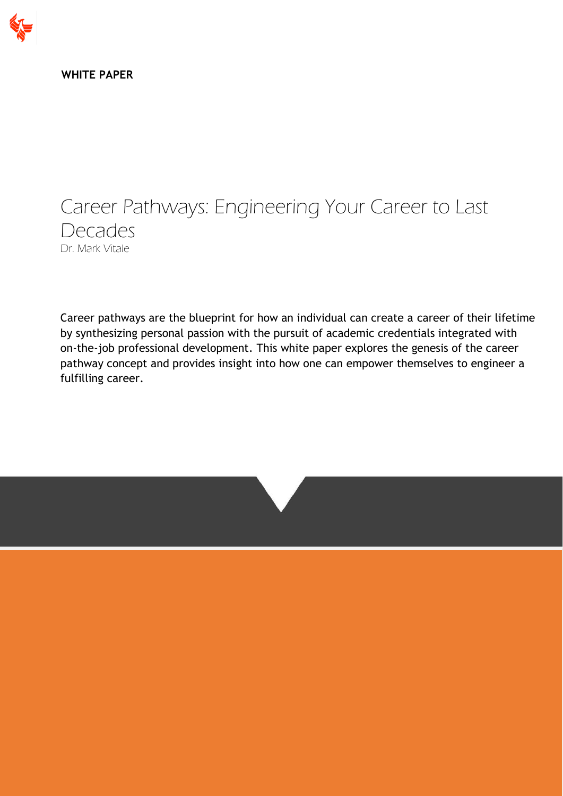

**WHITE PAPER**

# Career Pathways: Engineering Your Career to Last Decades Dr. Mark Vitale

Career pathways are the blueprint for how an individual can create a career of their lifetime by synthesizing personal passion with the pursuit of academic credentials integrated with on-the-job professional development. This white paper explores the genesis of the career pathway concept and provides insight into how one can empower themselves to engineer a fulfilling career.

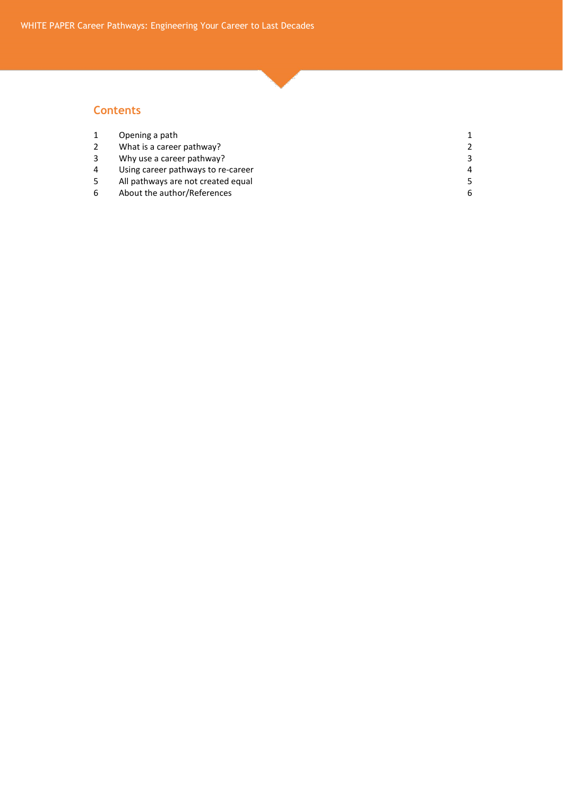#### **Contents**

|                | Opening a path                     |   |
|----------------|------------------------------------|---|
|                | What is a career pathway?          |   |
|                | Why use a career pathway?          |   |
| $\overline{4}$ | Using career pathways to re-career | 4 |
|                | All pathways are not created equal |   |
|                | About the author/References        | h |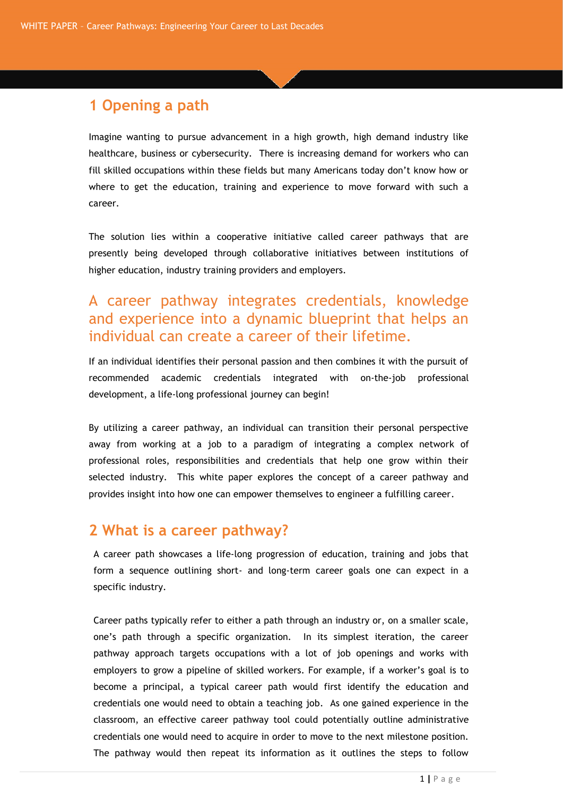## **1 Opening a path**

Imagine wanting to pursue advancement in a high growth, high demand industry like healthcare, business or cybersecurity. There is increasing demand for workers who can fill skilled occupations within these fields but many Americans today don't know how or where to get the education, training and experience to move forward with such a career.

The solution lies within a cooperative initiative called career pathways that are presently being developed through collaborative initiatives between institutions of higher education, industry training providers and employers.

## A career pathway integrates credentials, knowledge and experience into a dynamic blueprint that helps an individual can create a career of their lifetime.

If an individual identifies their personal passion and then combines it with the pursuit of recommended academic credentials integrated with on-the-job professional development, a life-long professional journey can begin!

By utilizing a career pathway, an individual can transition their personal perspective away from working at a job to a paradigm of integrating a complex network of professional roles, responsibilities and credentials that help one grow within their selected industry. This white paper explores the concept of a career pathway and provides insight into how one can empower themselves to engineer a fulfilling career.

## **2 What is a career pathway?**

A career path showcases a life-long progression of education, training and jobs that form a sequence outlining short- and long-term career goals one can expect in a specific industry.

Career paths typically refer to either a path through an industry or, on a smaller scale, one's path through a specific organization. In its simplest iteration, the career pathway approach targets occupations with a lot of job openings and works with employers to grow a pipeline of skilled workers. For example, if a worker's goal is to become a principal, a typical career path would first identify the education and credentials one would need to obtain a teaching job. As one gained experience in the classroom, an effective career pathway tool could potentially outline administrative credentials one would need to acquire in order to move to the next milestone position. The pathway would then repeat its information as it outlines the steps to follow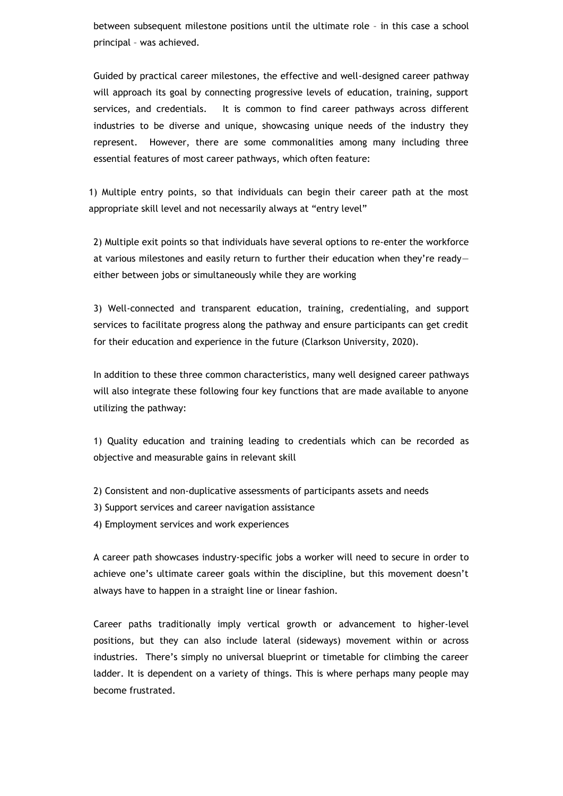between subsequent milestone positions until the ultimate role – in this case a school principal – was achieved.

Guided by practical career milestones, the effective and well-designed career pathway will approach its goal by connecting progressive levels of education, training, support services, and credentials. It is common to find career pathways across different industries to be diverse and unique, showcasing unique needs of the industry they represent. However, there are some commonalities among many including three essential features of most career pathways, which often feature:

1) Multiple entry points, so that individuals can begin their career path at the most appropriate skill level and not necessarily always at "entry level"

2) Multiple exit points so that individuals have several options to re-enter the workforce at various milestones and easily return to further their education when they're ready either between jobs or simultaneously while they are working

3) Well-connected and transparent education, training, credentialing, and support services to facilitate progress along the pathway and ensure participants can get credit for their education and experience in the future (Clarkson University, 2020).

In addition to these three common characteristics, many well designed career pathways will also integrate these following four key functions that are made available to anyone utilizing the pathway:

1) Quality education and training leading to credentials which can be recorded as objective and measurable gains in relevant skill

- 2) Consistent and non-duplicative assessments of participants assets and needs
- 3) Support services and career navigation assistance
- 4) Employment services and work experiences

A career path showcases industry-specific jobs a worker will need to secure in order to achieve one's ultimate career goals within the discipline, but this movement doesn't always have to happen in a straight line or linear fashion.

Career paths traditionally imply vertical growth or advancement to higher-level positions, but they can also include lateral (sideways) movement within or across industries. There's simply no universal blueprint or timetable for climbing the career ladder. It is dependent on a variety of things. This is where perhaps many people may become frustrated.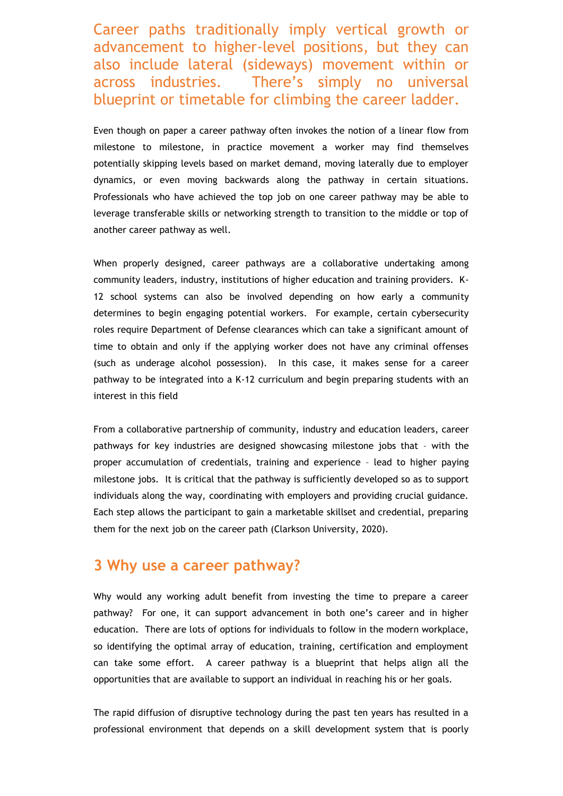Career paths traditionally imply vertical growth or advancement to higher-level positions, but they can also include lateral (sideways) movement within or across industries. There's simply no universal blueprint or timetable for climbing the career ladder.

Even though on paper a career pathway often invokes the notion of a linear flow from milestone to milestone, in practice movement a worker may find themselves potentially skipping levels based on market demand, moving laterally due to employer dynamics, or even moving backwards along the pathway in certain situations. Professionals who have achieved the top job on one career pathway may be able to leverage transferable skills or networking strength to transition to the middle or top of another career pathway as well.

When properly designed, career pathways are a collaborative undertaking among community leaders, industry, institutions of higher education and training providers. K-12 school systems can also be involved depending on how early a community determines to begin engaging potential workers. For example, certain cybersecurity roles require Department of Defense clearances which can take a significant amount of time to obtain and only if the applying worker does not have any criminal offenses (such as underage alcohol possession). In this case, it makes sense for a career pathway to be integrated into a K-12 curriculum and begin preparing students with an interest in this field

From a collaborative partnership of community, industry and education leaders, career pathways for key industries are designed showcasing milestone jobs that – with the proper accumulation of credentials, training and experience – lead to higher paying milestone jobs. It is critical that the pathway is sufficiently developed so as to support individuals along the way, coordinating with employers and providing crucial guidance. Each step allows the participant to gain a marketable skillset and credential, preparing them for the next job on the career path (Clarkson University, 2020).

#### **3 Why use a career pathway?**

Why would any working adult benefit from investing the time to prepare a career pathway? For one, it can support advancement in both one's career and in higher education. There are lots of options for individuals to follow in the modern workplace, so identifying the optimal array of education, training, certification and employment can take some effort. A career pathway is a blueprint that helps align all the opportunities that are available to support an individual in reaching his or her goals.

The rapid diffusion of disruptive technology during the past ten years has resulted in a professional environment that depends on a skill development system that is poorly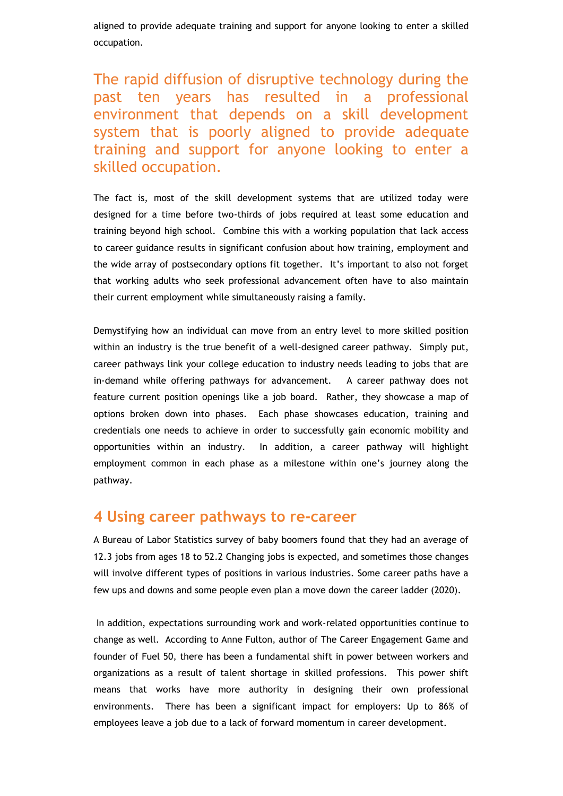aligned to provide adequate training and support for anyone looking to enter a skilled occupation.

The rapid diffusion of disruptive technology during the past ten years has resulted in a professional environment that depends on a skill development system that is poorly aligned to provide adequate training and support for anyone looking to enter a skilled occupation.

The fact is, most of the skill development systems that are utilized today were designed for a time before two-thirds of jobs required at least some education and training beyond high school. Combine this with a working population that lack access to career guidance results in significant confusion about how training, employment and the wide array of postsecondary options fit together. It's important to also not forget that working adults who seek professional advancement often have to also maintain their current employment while simultaneously raising a family.

Demystifying how an individual can move from an entry level to more skilled position within an industry is the true benefit of a well-designed career pathway. Simply put, career pathways link your college education to industry needs leading to jobs that are in-demand while offering pathways for advancement. A career pathway does not feature current position openings like a job board. Rather, they showcase a map of options broken down into phases. Each phase showcases education, training and credentials one needs to achieve in order to successfully gain economic mobility and opportunities within an industry. In addition, a career pathway will highlight employment common in each phase as a milestone within one's journey along the pathway.

## **4 Using career pathways to re-career**

A Bureau of Labor Statistics survey of baby boomers found that they had an average of 12.3 jobs from ages 18 to 52.2 Changing jobs is expected, and sometimes those changes will involve different types of positions in various industries. Some career paths have a few ups and downs and some people even plan a move down the career ladder (2020).

In addition, expectations surrounding work and work-related opportunities continue to change as well. According to Anne Fulton, author of The Career Engagement Game and founder of Fuel 50, there has been a fundamental shift in power between workers and organizations as a result of talent shortage in skilled professions. This power shift means that works have more authority in designing their own professional environments. There has been a significant impact for employers: Up to 86% of employees leave a job due to a lack of forward momentum in career development.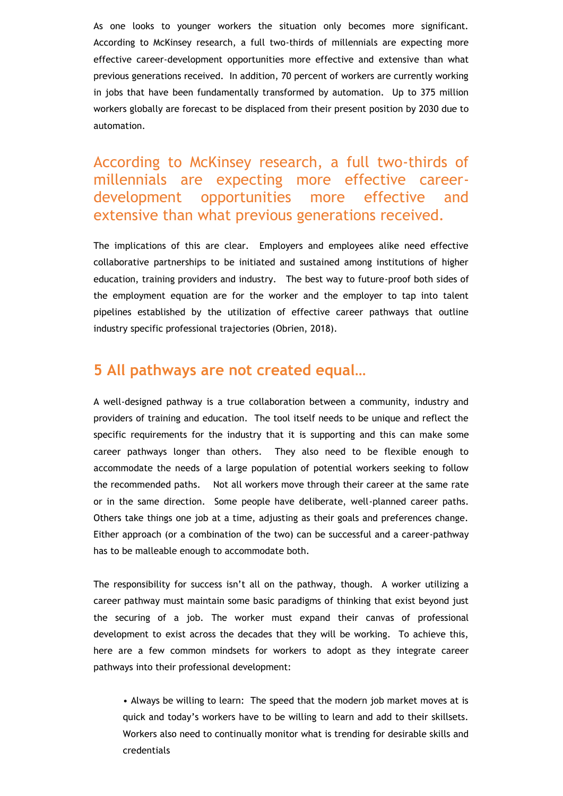As one looks to younger workers the situation only becomes more significant. According to McKinsey research, a full two-thirds of millennials are expecting more effective career-development opportunities more effective and extensive than what previous generations received. In addition, 70 percent of workers are currently working in jobs that have been fundamentally transformed by automation. Up to 375 million workers globally are forecast to be displaced from their present position by 2030 due to automation.

According to McKinsey research, a full two-thirds of millennials are expecting more effective careerdevelopment opportunities more effective and extensive than what previous generations received.

The implications of this are clear. Employers and employees alike need effective collaborative partnerships to be initiated and sustained among institutions of higher education, training providers and industry. The best way to future-proof both sides of the employment equation are for the worker and the employer to tap into talent pipelines established by the utilization of effective career pathways that outline industry specific professional trajectories (Obrien, 2018).

#### **5 All pathways are not created equal…**

A well-designed pathway is a true collaboration between a community, industry and providers of training and education. The tool itself needs to be unique and reflect the specific requirements for the industry that it is supporting and this can make some career pathways longer than others. They also need to be flexible enough to accommodate the needs of a large population of potential workers seeking to follow the recommended paths. Not all workers move through their career at the same rate or in the same direction. Some people have deliberate, well-planned career paths. Others take things one job at a time, adjusting as their goals and preferences change. Either approach (or a combination of the two) can be successful and a career-pathway has to be malleable enough to accommodate both.

The responsibility for success isn't all on the pathway, though. A worker utilizing a career pathway must maintain some basic paradigms of thinking that exist beyond just the securing of a job. The worker must expand their canvas of professional development to exist across the decades that they will be working. To achieve this, here are a few common mindsets for workers to adopt as they integrate career pathways into their professional development:

• Always be willing to learn: The speed that the modern job market moves at is quick and today's workers have to be willing to learn and add to their skillsets. Workers also need to continually monitor what is trending for desirable skills and credentials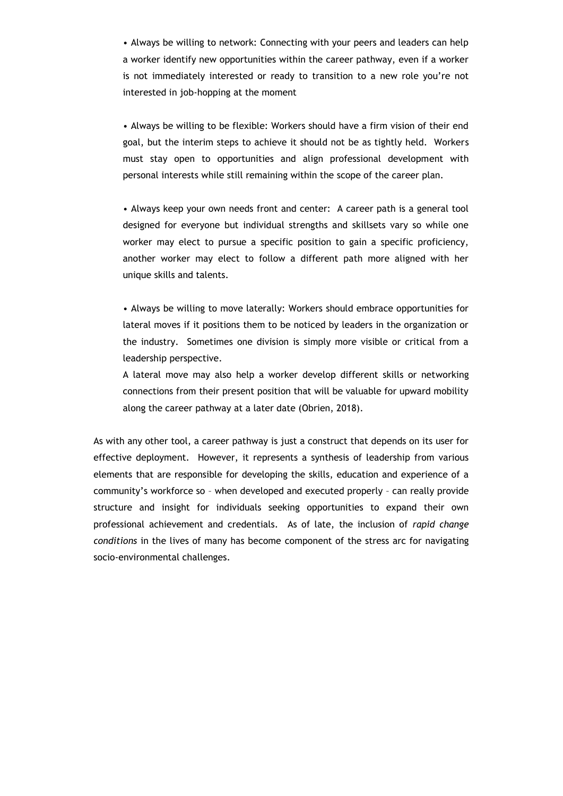• Always be willing to network: Connecting with your peers and leaders can help a worker identify new opportunities within the career pathway, even if a worker is not immediately interested or ready to transition to a new role you're not interested in job-hopping at the moment

• Always be willing to be flexible: Workers should have a firm vision of their end goal, but the interim steps to achieve it should not be as tightly held. Workers must stay open to opportunities and align professional development with personal interests while still remaining within the scope of the career plan.

• Always keep your own needs front and center: A career path is a general tool designed for everyone but individual strengths and skillsets vary so while one worker may elect to pursue a specific position to gain a specific proficiency, another worker may elect to follow a different path more aligned with her unique skills and talents.

• Always be willing to move laterally: Workers should embrace opportunities for lateral moves if it positions them to be noticed by leaders in the organization or the industry. Sometimes one division is simply more visible or critical from a leadership perspective.

A lateral move may also help a worker develop different skills or networking connections from their present position that will be valuable for upward mobility along the career pathway at a later date (Obrien, 2018).

As with any other tool, a career pathway is just a construct that depends on its user for effective deployment. However, it represents a synthesis of leadership from various elements that are responsible for developing the skills, education and experience of a community's workforce so – when developed and executed properly – can really provide structure and insight for individuals seeking opportunities to expand their own professional achievement and credentials. As of late, the inclusion of *rapid change conditions* in the lives of many has become component of the stress arc for navigating socio-environmental challenges.